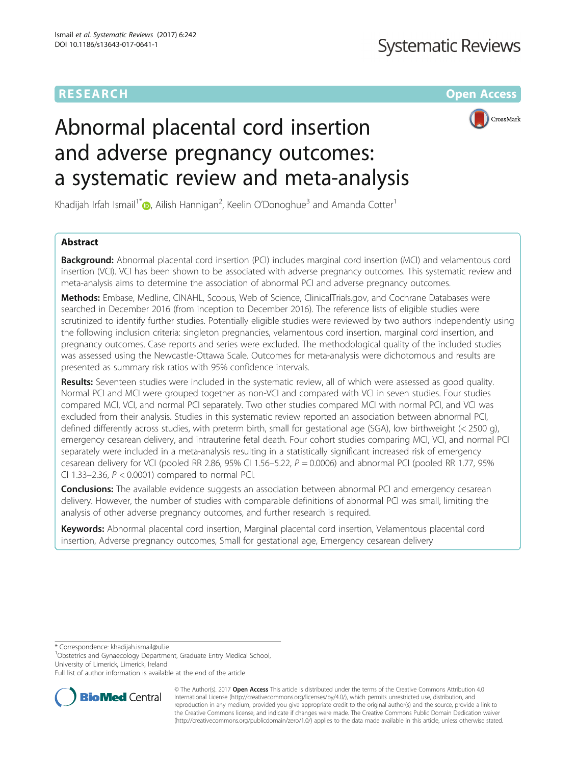# **RESEARCH CHE Open Access**



# Abnormal placental cord insertion and adverse pregnancy outcomes: a systematic review and meta-analysis

Khadijah Irfah Ismail<sup>1\*</sup> $\textsf{D}$ [,](http://orcid.org/0000-0003-1945-3416) Ailish Hannigan<sup>2</sup>, Keelin O'Donoghue<sup>3</sup> and Amanda Cotter<sup>1</sup>

## Abstract

**Background:** Abnormal placental cord insertion (PCI) includes marginal cord insertion (MCI) and velamentous cord insertion (VCI). VCI has been shown to be associated with adverse pregnancy outcomes. This systematic review and meta-analysis aims to determine the association of abnormal PCI and adverse pregnancy outcomes.

Methods: Embase, Medline, CINAHL, Scopus, Web of Science, ClinicalTrials.gov, and Cochrane Databases were searched in December 2016 (from inception to December 2016). The reference lists of eligible studies were scrutinized to identify further studies. Potentially eligible studies were reviewed by two authors independently using the following inclusion criteria: singleton pregnancies, velamentous cord insertion, marginal cord insertion, and pregnancy outcomes. Case reports and series were excluded. The methodological quality of the included studies was assessed using the Newcastle-Ottawa Scale. Outcomes for meta-analysis were dichotomous and results are presented as summary risk ratios with 95% confidence intervals.

Results: Seventeen studies were included in the systematic review, all of which were assessed as good quality. Normal PCI and MCI were grouped together as non-VCI and compared with VCI in seven studies. Four studies compared MCI, VCI, and normal PCI separately. Two other studies compared MCI with normal PCI, and VCI was excluded from their analysis. Studies in this systematic review reported an association between abnormal PCI, defined differently across studies, with preterm birth, small for gestational age (SGA), low birthweight (< 2500 g), emergency cesarean delivery, and intrauterine fetal death. Four cohort studies comparing MCI, VCI, and normal PCI separately were included in a meta-analysis resulting in a statistically significant increased risk of emergency cesarean delivery for VCI (pooled RR 2.86, 95% CI 1.56–5.22,  $P = 0.0006$ ) and abnormal PCI (pooled RR 1.77, 95% CI 1.33–2.36, P < 0.0001) compared to normal PCI.

**Conclusions:** The available evidence suggests an association between abnormal PCI and emergency cesarean delivery. However, the number of studies with comparable definitions of abnormal PCI was small, limiting the analysis of other adverse pregnancy outcomes, and further research is required.

Keywords: Abnormal placental cord insertion, Marginal placental cord insertion, Velamentous placental cord insertion, Adverse pregnancy outcomes, Small for gestational age, Emergency cesarean delivery

\* Correspondence: [khadijah.ismail@ul.ie](mailto:khadijah.ismail@ul.ie) <sup>1</sup>

<sup>1</sup>Obstetrics and Gynaecology Department, Graduate Entry Medical School, University of Limerick, Limerick, Ireland

Full list of author information is available at the end of the article



© The Author(s). 2017 **Open Access** This article is distributed under the terms of the Creative Commons Attribution 4.0 International License [\(http://creativecommons.org/licenses/by/4.0/](http://creativecommons.org/licenses/by/4.0/)), which permits unrestricted use, distribution, and reproduction in any medium, provided you give appropriate credit to the original author(s) and the source, provide a link to the Creative Commons license, and indicate if changes were made. The Creative Commons Public Domain Dedication waiver [\(http://creativecommons.org/publicdomain/zero/1.0/](http://creativecommons.org/publicdomain/zero/1.0/)) applies to the data made available in this article, unless otherwise stated.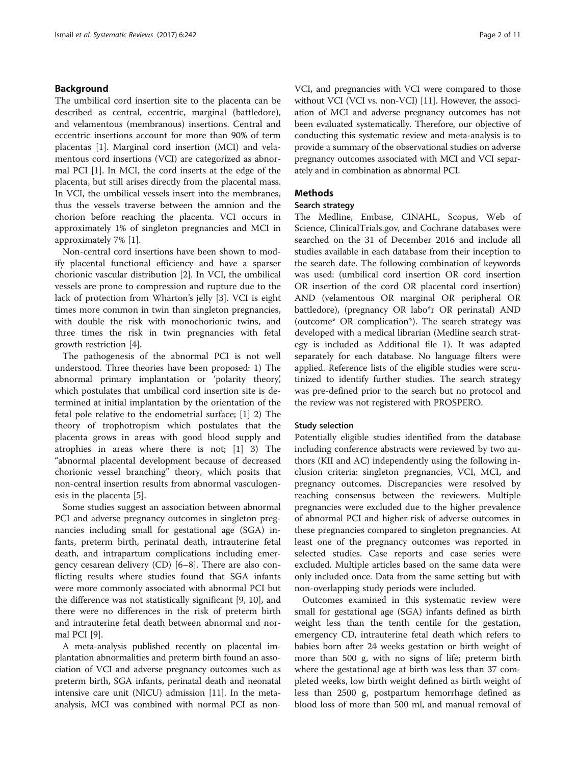## Background

The umbilical cord insertion site to the placenta can be described as central, eccentric, marginal (battledore), and velamentous (membranous) insertions. Central and eccentric insertions account for more than 90% of term placentas [\[1](#page-9-0)]. Marginal cord insertion (MCI) and velamentous cord insertions (VCI) are categorized as abnormal PCI [\[1](#page-9-0)]. In MCI, the cord inserts at the edge of the placenta, but still arises directly from the placental mass. In VCI, the umbilical vessels insert into the membranes, thus the vessels traverse between the amnion and the chorion before reaching the placenta. VCI occurs in approximately 1% of singleton pregnancies and MCI in approximately 7% [[1](#page-9-0)].

Non-central cord insertions have been shown to modify placental functional efficiency and have a sparser chorionic vascular distribution [\[2](#page-9-0)]. In VCI, the umbilical vessels are prone to compression and rupture due to the lack of protection from Wharton's jelly [\[3](#page-9-0)]. VCI is eight times more common in twin than singleton pregnancies, with double the risk with monochorionic twins, and three times the risk in twin pregnancies with fetal growth restriction [[4](#page-9-0)].

The pathogenesis of the abnormal PCI is not well understood. Three theories have been proposed: 1) The abnormal primary implantation or 'polarity theory', which postulates that umbilical cord insertion site is determined at initial implantation by the orientation of the fetal pole relative to the endometrial surface; [[1\]](#page-9-0) 2) The theory of trophotropism which postulates that the placenta grows in areas with good blood supply and atrophies in areas where there is not; [[1\]](#page-9-0) 3) The "abnormal placental development because of decreased chorionic vessel branching" theory, which posits that non-central insertion results from abnormal vasculogenesis in the placenta [[5\]](#page-9-0).

Some studies suggest an association between abnormal PCI and adverse pregnancy outcomes in singleton pregnancies including small for gestational age (SGA) infants, preterm birth, perinatal death, intrauterine fetal death, and intrapartum complications including emergency cesarean delivery (CD) [\[6](#page-9-0)–[8\]](#page-9-0). There are also conflicting results where studies found that SGA infants were more commonly associated with abnormal PCI but the difference was not statistically significant [\[9](#page-9-0), [10](#page-9-0)], and there were no differences in the risk of preterm birth and intrauterine fetal death between abnormal and normal PCI [\[9](#page-9-0)].

A meta-analysis published recently on placental implantation abnormalities and preterm birth found an association of VCI and adverse pregnancy outcomes such as preterm birth, SGA infants, perinatal death and neonatal intensive care unit (NICU) admission [\[11\]](#page-9-0). In the metaanalysis, MCI was combined with normal PCI as non-

VCI, and pregnancies with VCI were compared to those without VCI (VCI vs. non-VCI) [[11\]](#page-9-0). However, the association of MCI and adverse pregnancy outcomes has not been evaluated systematically. Therefore, our objective of conducting this systematic review and meta-analysis is to provide a summary of the observational studies on adverse pregnancy outcomes associated with MCI and VCI separately and in combination as abnormal PCI.

## **Methods**

## Search strategy

The Medline, Embase, CINAHL, Scopus, Web of Science, ClinicalTrials.gov, and Cochrane databases were searched on the 31 of December 2016 and include all studies available in each database from their inception to the search date. The following combination of keywords was used: (umbilical cord insertion OR cord insertion OR insertion of the cord OR placental cord insertion) AND (velamentous OR marginal OR peripheral OR battledore), (pregnancy OR labo\*r OR perinatal) AND (outcome\* OR complication\*). The search strategy was developed with a medical librarian (Medline search strategy is included as Additional file [1\)](#page-9-0). It was adapted separately for each database. No language filters were applied. Reference lists of the eligible studies were scrutinized to identify further studies. The search strategy was pre-defined prior to the search but no protocol and the review was not registered with PROSPERO.

#### Study selection

Potentially eligible studies identified from the database including conference abstracts were reviewed by two authors (KII and AC) independently using the following inclusion criteria: singleton pregnancies, VCI, MCI, and pregnancy outcomes. Discrepancies were resolved by reaching consensus between the reviewers. Multiple pregnancies were excluded due to the higher prevalence of abnormal PCI and higher risk of adverse outcomes in these pregnancies compared to singleton pregnancies. At least one of the pregnancy outcomes was reported in selected studies. Case reports and case series were excluded. Multiple articles based on the same data were only included once. Data from the same setting but with non-overlapping study periods were included.

Outcomes examined in this systematic review were small for gestational age (SGA) infants defined as birth weight less than the tenth centile for the gestation, emergency CD, intrauterine fetal death which refers to babies born after 24 weeks gestation or birth weight of more than 500 g, with no signs of life; preterm birth where the gestational age at birth was less than 37 completed weeks, low birth weight defined as birth weight of less than 2500 g, postpartum hemorrhage defined as blood loss of more than 500 ml, and manual removal of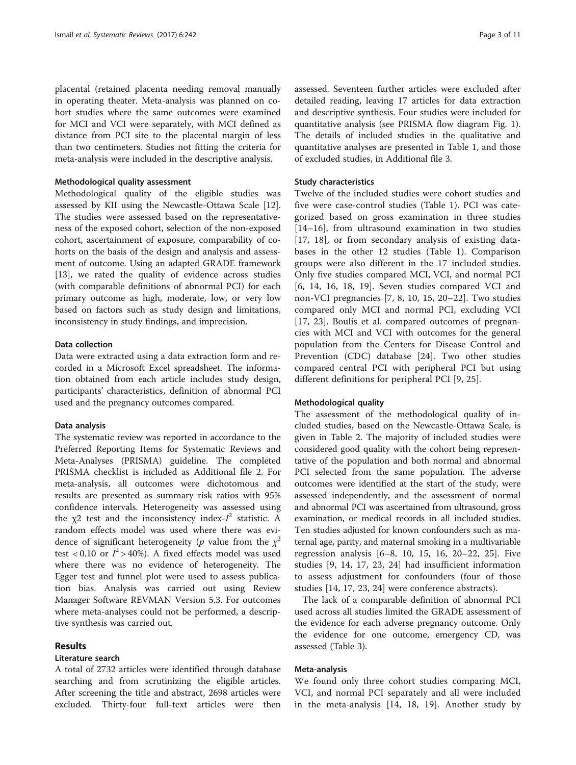placental (retained placenta needing removal manually in operating theater. Meta-analysis was planned on cohort studies where the same outcomes were examined for MCI and VCI were separately, with MCI defined as distance from PCI site to the placental margin of less than two centimeters. Studies not fitting the criteria for meta-analysis were included in the descriptive analysis.

#### Methodological quality assessment

Methodological quality of the eligible studies was assessed by KII using the Newcastle-Ottawa Scale [\[12](#page-9-0)]. The studies were assessed based on the representativeness of the exposed cohort, selection of the non-exposed cohort, ascertainment of exposure, comparability of cohorts on the basis of the design and analysis and assessment of outcome. Using an adapted GRADE framework [[13\]](#page-9-0), we rated the quality of evidence across studies (with comparable definitions of abnormal PCI) for each primary outcome as high, moderate, low, or very low based on factors such as study design and limitations, inconsistency in study findings, and imprecision.

#### Data collection

Data were extracted using a data extraction form and recorded in a Microsoft Excel spreadsheet. The information obtained from each article includes study design, participants' characteristics, definition of abnormal PCI used and the pregnancy outcomes compared.

#### Data analysis

The systematic review was reported in accordance to the Preferred Reporting Items for Systematic Reviews and Meta-Analyses (PRISMA) guideline. The completed PRISMA checklist is included as Additional file [2.](#page-9-0) For meta-analysis, all outcomes were dichotomous and results are presented as summary risk ratios with 95% confidence intervals. Heterogeneity was assessed using the  $\chi$ 2 test and the inconsistency index- $I^2$  statistic. A random effects model was used where there was evidence of significant heterogeneity (*p* value from the  $\chi^2$ test < 0.10 or  $I^2$  > 40%). A fixed effects model was used where there was no evidence of heterogeneity. The Egger test and funnel plot were used to assess publication bias. Analysis was carried out using Review Manager Software REVMAN Version 5.3. For outcomes where meta-analyses could not be performed, a descriptive synthesis was carried out.

## Results

#### Literature search

A total of 2732 articles were identified through database searching and from scrutinizing the eligible articles. After screening the title and abstract, 2698 articles were excluded. Thirty-four full-text articles were then assessed. Seventeen further articles were excluded after detailed reading, leaving 17 articles for data extraction and descriptive synthesis. Four studies were included for quantitative analysis (see PRISMA flow diagram Fig. [1](#page-3-0)). The details of included studies in the qualitative and quantitative analyses are presented in Table [1](#page-4-0), and those of excluded studies, in Additional file [3.](#page-9-0)

#### Study characteristics

Twelve of the included studies were cohort studies and five were case-control studies (Table [1\)](#page-4-0). PCI was categorized based on gross examination in three studies [[14](#page-9-0)–[16](#page-9-0)], from ultrasound examination in two studies [[17, 18](#page-9-0)], or from secondary analysis of existing databases in the other 12 studies (Table [1\)](#page-4-0). Comparison groups were also different in the 17 included studies. Only five studies compared MCI, VCI, and normal PCI [[6, 14](#page-9-0), [16](#page-9-0), [18, 19\]](#page-9-0). Seven studies compared VCI and non-VCI pregnancies [[7, 8](#page-9-0), [10, 15](#page-9-0), [20](#page-9-0)–[22\]](#page-9-0). Two studies compared only MCI and normal PCI, excluding VCI [[17, 23](#page-9-0)]. Boulis et al. compared outcomes of pregnancies with MCI and VCI with outcomes for the general population from the Centers for Disease Control and Prevention (CDC) database [[24\]](#page-9-0). Two other studies compared central PCI with peripheral PCI but using different definitions for peripheral PCI [\[9](#page-9-0), [25](#page-9-0)].

#### Methodological quality

The assessment of the methodological quality of included studies, based on the Newcastle-Ottawa Scale, is given in Table [2.](#page-5-0) The majority of included studies were considered good quality with the cohort being representative of the population and both normal and abnormal PCI selected from the same population. The adverse outcomes were identified at the start of the study, were assessed independently, and the assessment of normal and abnormal PCI was ascertained from ultrasound, gross examination, or medical records in all included studies. Ten studies adjusted for known confounders such as maternal age, parity, and maternal smoking in a multivariable regression analysis [[6](#page-9-0)–[8, 10, 15](#page-9-0), [16, 20](#page-9-0)–[22, 25](#page-9-0)]. Five studies [[9](#page-9-0), [14](#page-9-0), [17, 23](#page-9-0), [24\]](#page-9-0) had insufficient information to assess adjustment for confounders (four of those studies [[14, 17, 23](#page-9-0), [24](#page-9-0)] were conference abstracts).

The lack of a comparable definition of abnormal PCI used across all studies limited the GRADE assessment of the evidence for each adverse pregnancy outcome. Only the evidence for one outcome, emergency CD, was assessed (Table [3\)](#page-6-0).

#### Meta-analysis

We found only three cohort studies comparing MCI, VCI, and normal PCI separately and all were included in the meta-analysis [[14, 18, 19](#page-9-0)]. Another study by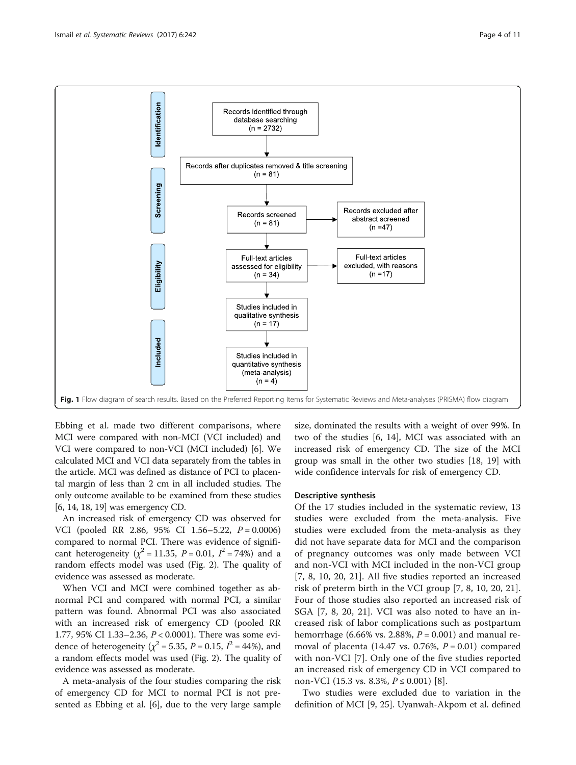<span id="page-3-0"></span>

Ebbing et al. made two different comparisons, where MCI were compared with non-MCI (VCI included) and VCI were compared to non-VCI (MCI included) [[6\]](#page-9-0). We calculated MCI and VCI data separately from the tables in the article. MCI was defined as distance of PCI to placental margin of less than 2 cm in all included studies. The only outcome available to be examined from these studies [[6, 14, 18](#page-9-0), [19\]](#page-9-0) was emergency CD.

An increased risk of emergency CD was observed for VCI (pooled RR 2.86, 95% CI 1.56–5.22,  $P = 0.0006$ ) compared to normal PCI. There was evidence of significant heterogeneity ( $\chi^2$  = 11.35, P = 0.01, I<sup>2</sup> = 74%) and a random effects model was used (Fig. [2](#page-7-0)). The quality of evidence was assessed as moderate.

When VCI and MCI were combined together as abnormal PCI and compared with normal PCI, a similar pattern was found. Abnormal PCI was also associated with an increased risk of emergency CD (pooled RR 1.77, 95% CI 1.33–2.36, P < 0.0001). There was some evidence of heterogeneity ( $\chi^2$  = 5.35, *P* = 0.15, *I*<sup>2</sup> = 44%), and a random effects model was used (Fig. [2\)](#page-7-0). The quality of evidence was assessed as moderate.

A meta-analysis of the four studies comparing the risk of emergency CD for MCI to normal PCI is not presented as Ebbing et al. [\[6](#page-9-0)], due to the very large sample size, dominated the results with a weight of over 99%. In two of the studies [[6](#page-9-0), [14\]](#page-9-0), MCI was associated with an increased risk of emergency CD. The size of the MCI group was small in the other two studies [\[18](#page-9-0), [19](#page-9-0)] with wide confidence intervals for risk of emergency CD.

### Descriptive synthesis

Of the 17 studies included in the systematic review, 13 studies were excluded from the meta-analysis. Five studies were excluded from the meta-analysis as they did not have separate data for MCI and the comparison of pregnancy outcomes was only made between VCI and non-VCI with MCI included in the non-VCI group [[7, 8, 10, 20](#page-9-0), [21](#page-9-0)]. All five studies reported an increased risk of preterm birth in the VCI group [[7, 8](#page-9-0), [10, 20, 21](#page-9-0)]. Four of those studies also reported an increased risk of SGA [\[7](#page-9-0), [8, 20, 21](#page-9-0)]. VCI was also noted to have an increased risk of labor complications such as postpartum hemorrhage (6.66% vs. 2.88%,  $P = 0.001$ ) and manual removal of placenta (14.47 vs. 0.76%,  $P = 0.01$ ) compared with non-VCI [\[7](#page-9-0)]. Only one of the five studies reported an increased risk of emergency CD in VCI compared to non-VCI (15.3 vs. 8.3%,  $P \le 0.001$ ) [\[8](#page-9-0)].

Two studies were excluded due to variation in the definition of MCI [[9, 25\]](#page-9-0). Uyanwah-Akpom et al. defined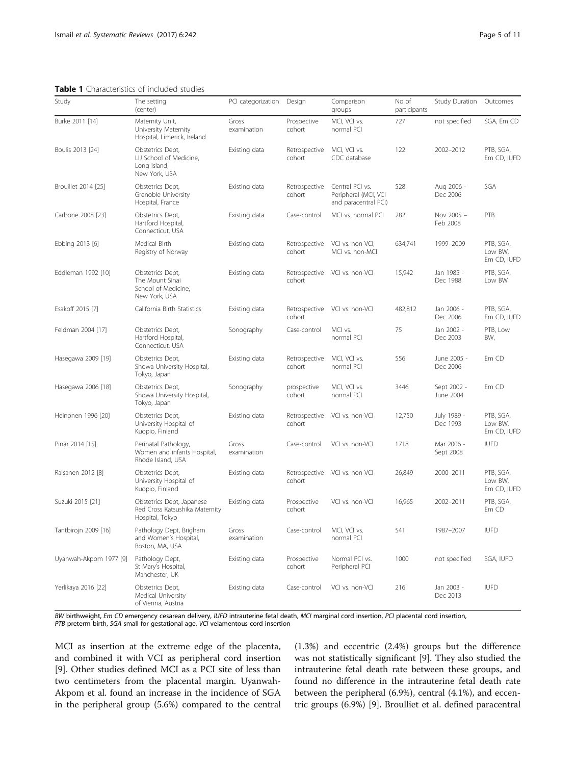#### <span id="page-4-0"></span>Table 1 Characteristics of included studies

| Study                  | The setting<br>(center)                                                        | PCI categorization   | Design                  | Comparison<br>groups                                            | No of<br>participants | <b>Study Duration</b>    | Outcomes                            |
|------------------------|--------------------------------------------------------------------------------|----------------------|-------------------------|-----------------------------------------------------------------|-----------------------|--------------------------|-------------------------------------|
| Burke 2011 [14]        | Maternity Unit,<br>University Maternity<br>Hospital, Limerick, Ireland         | Gross<br>examination | Prospective<br>cohort   | MCI, VCI vs.<br>normal PCI                                      | 727                   | not specified            | SGA, Em CD                          |
| Boulis 2013 [24]       | Obstetrics Dept,<br>LIJ School of Medicine,<br>Long Island,<br>New York, USA   | Existing data        | Retrospective<br>cohort | MCI, VCI vs.<br>CDC database                                    | 122                   | 2002-2012                | PTB, SGA,<br>Em CD, IUFD            |
| Brouillet 2014 [25]    | Obstetrics Dept,<br>Grenoble University<br>Hospital, France                    | Existing data        | Retrospective<br>cohort | Central PCI vs.<br>Peripheral (MCI, VCI<br>and paracentral PCI) | 528                   | Aug 2006 -<br>Dec 2006   | SGA                                 |
| Carbone 2008 [23]      | Obstetrics Dept,<br>Hartford Hospital,<br>Connecticut, USA                     | Existing data        | Case-control            | MCI vs. normal PCI                                              | 282                   | Nov 2005 -<br>Feb 2008   | PTB                                 |
| Ebbing 2013 [6]        | Medical Birth<br>Registry of Norway                                            | Existing data        | Retrospective<br>cohort | VCI vs. non-VCI,<br>MCI vs. non-MCI                             | 634,741               | 1999-2009                | PTB, SGA,<br>Low BW,<br>Em CD, IUFD |
| Eddleman 1992 [10]     | Obstetrics Dept,<br>The Mount Sinai<br>School of Medicine,<br>New York, USA    | Existing data        | Retrospective<br>cohort | VCI vs. non-VCI                                                 | 15,942                | Jan 1985 -<br>Dec 1988   | PTB, SGA,<br>Low BW                 |
| Esakoff 2015 [7]       | California Birth Statistics                                                    | Existing data        | cohort                  | Retrospective VCI vs. non-VCI                                   | 482,812               | Jan 2006 -<br>Dec 2006   | PTB, SGA,<br>Em CD, IUFD            |
| Feldman 2004 [17]      | Obstetrics Dept,<br>Hartford Hospital,<br>Connecticut, USA                     | Sonography           | Case-control            | MCI vs.<br>normal PCI                                           | 75                    | Jan 2002 -<br>Dec 2003   | PTB, Low<br>BW,                     |
| Hasegawa 2009 [19]     | Obstetrics Dept,<br>Showa University Hospital,<br>Tokyo, Japan                 | Existing data        | Retrospective<br>cohort | MCI, VCI vs.<br>normal PCI                                      | 556                   | June 2005 -<br>Dec 2006  | Em CD                               |
| Hasegawa 2006 [18]     | Obstetrics Dept,<br>Showa University Hospital,<br>Tokyo, Japan                 | Sonography           | prospective<br>cohort   | MCI, VCI vs.<br>normal PCI                                      | 3446                  | Sept 2002 -<br>June 2004 | Em CD                               |
| Heinonen 1996 [20]     | Obstetrics Dept,<br>University Hospital of<br>Kuopio, Finland                  | Existing data        | Retrospective<br>cohort | VCI vs. non-VCI                                                 | 12,750                | July 1989 -<br>Dec 1993  | PTB, SGA,<br>Low BW,<br>Em CD, IUFD |
| Pinar 2014 [15]        | Perinatal Pathology,<br>Women and infants Hospital,<br>Rhode Island, USA       | Gross<br>examination | Case-control            | VCI vs. non-VCI                                                 | 1718                  | Mar 2006 -<br>Sept 2008  | <b>IUFD</b>                         |
| Raisanen 2012 [8]      | Obstetrics Dept,<br>University Hospital of<br>Kuopio, Finland                  | Existing data        | Retrospective<br>cohort | VCI vs. non-VCI                                                 | 26,849                | 2000-2011                | PTB, SGA,<br>Low BW,<br>Em CD, IUFD |
| Suzuki 2015 [21]       | Obstetrics Dept, Japanese<br>Red Cross Katsushika Maternity<br>Hospital, Tokyo | Existing data        | Prospective<br>cohort   | VCI vs. non-VCI                                                 | 16,965                | 2002-2011                | PTB, SGA,<br>Em CD                  |
| Tantbirojn 2009 [16]   | Pathology Dept, Brigham<br>and Women's Hospital,<br>Boston, MA, USA            | Gross<br>examination | Case-control            | MCI, VCI vs.<br>normal PCI                                      | 541                   | 1987-2007                | <b>IUFD</b>                         |
| Uyanwah-Akpom 1977 [9] | Pathology Dept,<br>St Mary's Hospital,<br>Manchester, UK                       | Existing data        | Prospective<br>cohort   | Normal PCI vs.<br>Peripheral PCI                                | 1000                  | not specified            | SGA, IUFD                           |
| Yerlikaya 2016 [22]    | Obstetrics Dept,<br>Medical University<br>of Vienna, Austria                   | Existing data        | Case-control            | VCI vs. non-VCI                                                 | 216                   | Jan 2003 -<br>Dec 2013   | <b>IUFD</b>                         |

BW birthweight, Em CD emergency cesarean delivery, IUFD intrauterine fetal death, MCI marginal cord insertion, PCI placental cord insertion, PTB preterm birth, SGA small for gestational age, VCI velamentous cord insertion

MCI as insertion at the extreme edge of the placenta, and combined it with VCI as peripheral cord insertion [[9\]](#page-9-0). Other studies defined MCI as a PCI site of less than two centimeters from the placental margin. Uyanwah-Akpom et al. found an increase in the incidence of SGA in the peripheral group (5.6%) compared to the central (1.3%) and eccentric (2.4%) groups but the difference was not statistically significant [\[9](#page-9-0)]. They also studied the intrauterine fetal death rate between these groups, and found no difference in the intrauterine fetal death rate between the peripheral (6.9%), central (4.1%), and eccentric groups (6.9%) [\[9](#page-9-0)]. Broulliet et al. defined paracentral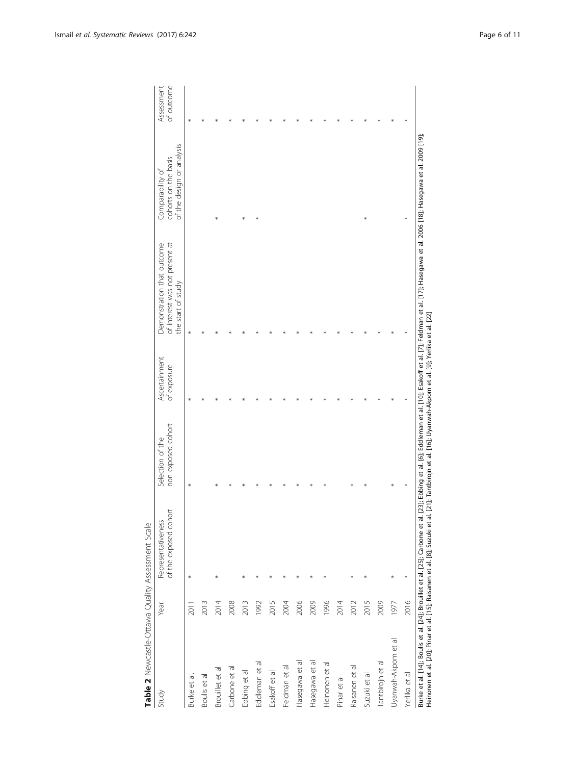<span id="page-5-0"></span>

| Study               | Year | of the exposed cohort<br>Representativeness | non-exposed cohort<br>Selection of the | Ascertainment<br>of exposure | Demonstration that outcome<br>of interest was not present at<br>the start of study | of the design or analysis<br>cohorts on the basis<br>Comparability of | of outcome<br>Assessment |
|---------------------|------|---------------------------------------------|----------------------------------------|------------------------------|------------------------------------------------------------------------------------|-----------------------------------------------------------------------|--------------------------|
| Burke et al.        | 2011 | $\ast$                                      |                                        | *                            | *                                                                                  |                                                                       |                          |
| Boulis et al        | 2013 |                                             |                                        |                              |                                                                                    |                                                                       |                          |
| Brouillet et al     | 2014 |                                             |                                        |                              |                                                                                    |                                                                       |                          |
| Carbone et al       | 2008 |                                             |                                        |                              |                                                                                    |                                                                       |                          |
| Ebbing et al        | 2013 |                                             |                                        |                              |                                                                                    |                                                                       |                          |
| Eddleman et al      | 1992 |                                             |                                        |                              |                                                                                    |                                                                       |                          |
| Esakoff et al       | 2015 |                                             |                                        |                              |                                                                                    |                                                                       |                          |
| Feldman et al       | 2004 |                                             |                                        |                              |                                                                                    |                                                                       |                          |
| Hasegawa et al      | 2006 |                                             |                                        |                              |                                                                                    |                                                                       |                          |
| Hasegawa et al      | 2009 |                                             |                                        |                              |                                                                                    |                                                                       |                          |
| Heinonen et al      | 1996 |                                             |                                        |                              |                                                                                    |                                                                       |                          |
| Pinar et al         | 2014 |                                             |                                        |                              |                                                                                    |                                                                       |                          |
| Raisanen et al      | 2012 |                                             |                                        |                              |                                                                                    |                                                                       |                          |
| Suzuki et al        | 2015 |                                             |                                        |                              |                                                                                    |                                                                       |                          |
| Tantbirojn et al    | 2009 |                                             |                                        |                              |                                                                                    |                                                                       |                          |
| Uyanwah-Akpom et al | 1977 | *                                           | *                                      |                              |                                                                                    |                                                                       |                          |
| Yerlika et al       | 2016 |                                             | *                                      | *                            | $\ast$                                                                             | $\ast$                                                                | $\ast$                   |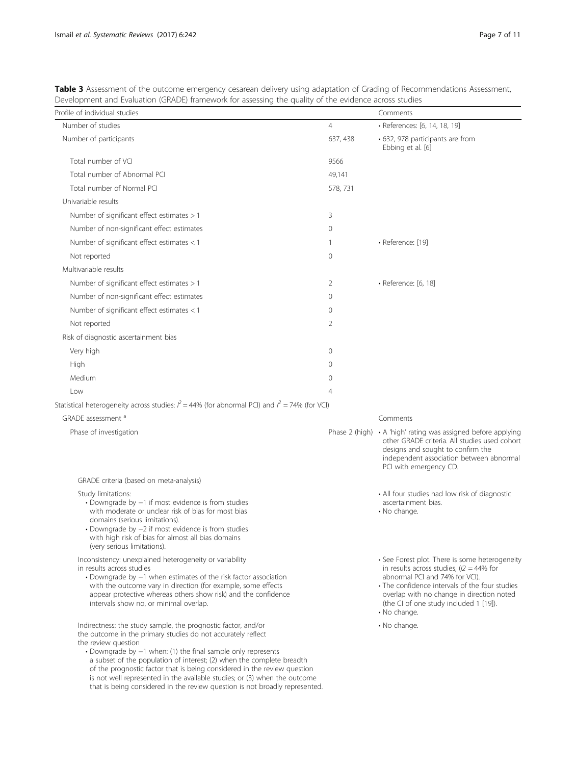| Profile of individual studies                                                                                                                                                                                                                                                                                                                                                                                                                                                                                                         |                | Comments                                                                                                                                                                                                                                                                                 |
|---------------------------------------------------------------------------------------------------------------------------------------------------------------------------------------------------------------------------------------------------------------------------------------------------------------------------------------------------------------------------------------------------------------------------------------------------------------------------------------------------------------------------------------|----------------|------------------------------------------------------------------------------------------------------------------------------------------------------------------------------------------------------------------------------------------------------------------------------------------|
| Number of studies                                                                                                                                                                                                                                                                                                                                                                                                                                                                                                                     | $\overline{4}$ | • References: [6, 14, 18, 19]                                                                                                                                                                                                                                                            |
| Number of participants                                                                                                                                                                                                                                                                                                                                                                                                                                                                                                                | 637, 438       | • 632, 978 participants are from<br>Ebbing et al. [6]                                                                                                                                                                                                                                    |
| Total number of VCI                                                                                                                                                                                                                                                                                                                                                                                                                                                                                                                   | 9566           |                                                                                                                                                                                                                                                                                          |
| Total number of Abnormal PCI                                                                                                                                                                                                                                                                                                                                                                                                                                                                                                          | 49,141         |                                                                                                                                                                                                                                                                                          |
| Total number of Normal PCI                                                                                                                                                                                                                                                                                                                                                                                                                                                                                                            | 578, 731       |                                                                                                                                                                                                                                                                                          |
| Univariable results                                                                                                                                                                                                                                                                                                                                                                                                                                                                                                                   |                |                                                                                                                                                                                                                                                                                          |
| Number of significant effect estimates > 1                                                                                                                                                                                                                                                                                                                                                                                                                                                                                            | 3              |                                                                                                                                                                                                                                                                                          |
| Number of non-significant effect estimates                                                                                                                                                                                                                                                                                                                                                                                                                                                                                            | $\mathbf{0}$   |                                                                                                                                                                                                                                                                                          |
| Number of significant effect estimates < 1                                                                                                                                                                                                                                                                                                                                                                                                                                                                                            | $\mathbf{1}$   | • Reference: [19]                                                                                                                                                                                                                                                                        |
| Not reported                                                                                                                                                                                                                                                                                                                                                                                                                                                                                                                          | $\mathbf 0$    |                                                                                                                                                                                                                                                                                          |
| Multivariable results                                                                                                                                                                                                                                                                                                                                                                                                                                                                                                                 |                |                                                                                                                                                                                                                                                                                          |
| Number of significant effect estimates > 1                                                                                                                                                                                                                                                                                                                                                                                                                                                                                            | 2              | $\cdot$ Reference: [6, 18]                                                                                                                                                                                                                                                               |
| Number of non-significant effect estimates                                                                                                                                                                                                                                                                                                                                                                                                                                                                                            | $\mathbf{0}$   |                                                                                                                                                                                                                                                                                          |
| Number of significant effect estimates < 1                                                                                                                                                                                                                                                                                                                                                                                                                                                                                            | $\mathbf 0$    |                                                                                                                                                                                                                                                                                          |
| Not reported                                                                                                                                                                                                                                                                                                                                                                                                                                                                                                                          | 2              |                                                                                                                                                                                                                                                                                          |
| Risk of diagnostic ascertainment bias                                                                                                                                                                                                                                                                                                                                                                                                                                                                                                 |                |                                                                                                                                                                                                                                                                                          |
| Very high                                                                                                                                                                                                                                                                                                                                                                                                                                                                                                                             | $\mathbf{0}$   |                                                                                                                                                                                                                                                                                          |
| High                                                                                                                                                                                                                                                                                                                                                                                                                                                                                                                                  | $\circ$        |                                                                                                                                                                                                                                                                                          |
| Medium                                                                                                                                                                                                                                                                                                                                                                                                                                                                                                                                | $\circ$        |                                                                                                                                                                                                                                                                                          |
| Low                                                                                                                                                                                                                                                                                                                                                                                                                                                                                                                                   | 4              |                                                                                                                                                                                                                                                                                          |
| Statistical heterogeneity across studies: $l^2 = 44\%$ (for abnormal PCI) and $l^2 = 74\%$ (for VCI)                                                                                                                                                                                                                                                                                                                                                                                                                                  |                |                                                                                                                                                                                                                                                                                          |
| GRADE assessment <sup>a</sup>                                                                                                                                                                                                                                                                                                                                                                                                                                                                                                         |                | Comments                                                                                                                                                                                                                                                                                 |
| Phase of investigation                                                                                                                                                                                                                                                                                                                                                                                                                                                                                                                |                | Phase 2 (high) $\cdot$ A 'high' rating was assigned before applying                                                                                                                                                                                                                      |
|                                                                                                                                                                                                                                                                                                                                                                                                                                                                                                                                       |                | other GRADE criteria. All studies used cohort<br>designs and sought to confirm the<br>independent association between abnormal<br>PCI with emergency CD.                                                                                                                                 |
| GRADE criteria (based on meta-analysis)                                                                                                                                                                                                                                                                                                                                                                                                                                                                                               |                |                                                                                                                                                                                                                                                                                          |
| Study limitations:<br>• Downgrade by -1 if most evidence is from studies<br>with moderate or unclear risk of bias for most bias<br>domains (serious limitations).<br>· Downgrade by -2 if most evidence is from studies<br>with high risk of bias for almost all bias domains<br>(very serious limitations).                                                                                                                                                                                                                          |                | • All four studies had low risk of diagnostic<br>ascertainment bias.<br>$\cdot$ No change.                                                                                                                                                                                               |
| Inconsistency: unexplained heterogeneity or variability<br>in results across studies<br>• Downgrade by -1 when estimates of the risk factor association<br>with the outcome vary in direction (for example, some effects<br>appear protective whereas others show risk) and the confidence<br>intervals show no, or minimal overlap.                                                                                                                                                                                                  |                | • See Forest plot. There is some heterogeneity<br>in results across studies, $(12 = 44\%$ for<br>abnormal PCI and 74% for VCI).<br>• The confidence intervals of the four studies<br>overlap with no change in direction noted<br>(the CI of one study included 1 [19]).<br>• No change. |
| Indirectness: the study sample, the prognostic factor, and/or<br>the outcome in the primary studies do not accurately reflect<br>the review question<br>• Downgrade by -1 when: (1) the final sample only represents<br>a subset of the population of interest; (2) when the complete breadth<br>of the prognostic factor that is being considered in the review question<br>is not well represented in the available studies; or (3) when the outcome<br>that is being considered in the review question is not broadly represented. |                | · No change.                                                                                                                                                                                                                                                                             |

<span id="page-6-0"></span>Table 3 Assessment of the outcome emergency cesarean delivery using adaptation of Grading of Recommendations Assessment, Development and Evaluation (GRADE) framework for assessing the quality of the evidence across studies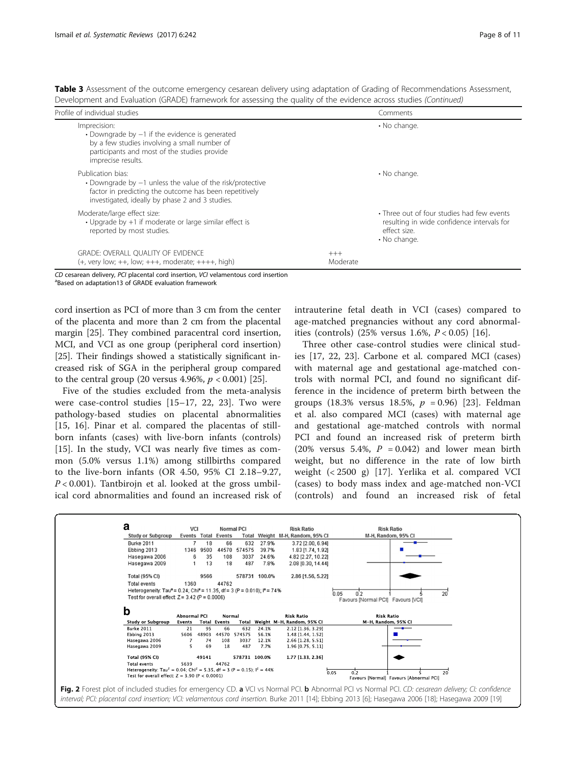<span id="page-7-0"></span>Table 3 Assessment of the outcome emergency cesarean delivery using adaptation of Grading of Recommendations Assessment, Development and Evaluation (GRADE) framework for assessing the quality of the evidence across studies (Continued)

| Profile of individual studies                                                                                                                                                                 |                   | Comments                                                                                                                       |
|-----------------------------------------------------------------------------------------------------------------------------------------------------------------------------------------------|-------------------|--------------------------------------------------------------------------------------------------------------------------------|
| Imprecision:<br>$\cdot$ Downgrade by $-1$ if the evidence is generated<br>by a few studies involving a small number of<br>participants and most of the studies provide<br>imprecise results.  |                   | $\cdot$ No change.                                                                                                             |
| Publication bias:<br>• Downgrade by $-1$ unless the value of the risk/protective<br>factor in predicting the outcome has been repetitively<br>investigated, ideally by phase 2 and 3 studies. |                   | $\cdot$ No change.                                                                                                             |
| Moderate/large effect size:<br>• Upgrade by +1 if moderate or large similar effect is<br>reported by most studies.                                                                            |                   | • Three out of four studies had few events<br>resulting in wide confidence intervals for<br>effect size.<br>$\cdot$ No change. |
| <b>GRADE: OVERALL OUALITY OF EVIDENCE</b><br>$(+,$ very low; $++,$ low; $+++$ , moderate; $+++$ , high)                                                                                       | $+++$<br>Moderate |                                                                                                                                |

CD cesarean delivery, PCI placental cord insertion, VCI velamentous cord insertion

Based on adaptation13 of GRADE evaluation framework

cord insertion as PCI of more than 3 cm from the center of the placenta and more than 2 cm from the placental margin [[25\]](#page-9-0). They combined paracentral cord insertion, MCI, and VCI as one group (peripheral cord insertion) [[25\]](#page-9-0). Their findings showed a statistically significant increased risk of SGA in the peripheral group compared to the central group (20 versus 4.96%,  $p < 0.001$ ) [\[25](#page-9-0)].

Five of the studies excluded from the meta-analysis were case-control studies [\[15](#page-9-0)–[17](#page-9-0), [22, 23](#page-9-0)]. Two were pathology-based studies on placental abnormalities [[15, 16](#page-9-0)]. Pinar et al. compared the placentas of stillborn infants (cases) with live-born infants (controls) [[15\]](#page-9-0). In the study, VCI was nearly five times as common (5.0% versus 1.1%) among stillbirths compared to the live-born infants (OR 4.50, 95% CI 2.18–9.27,  $P < 0.001$ ). Tantbirojn et al. looked at the gross umbilical cord abnormalities and found an increased risk of

intrauterine fetal death in VCI (cases) compared to age-matched pregnancies without any cord abnormalities (controls)  $(25\% \text{ versus } 1.6\%, P < 0.05)$  [[16\]](#page-9-0).

Three other case-control studies were clinical studies [\[17](#page-9-0), [22, 23](#page-9-0)]. Carbone et al. compared MCI (cases) with maternal age and gestational age-matched controls with normal PCI, and found no significant difference in the incidence of preterm birth between the groups (18.3% versus 18.5%,  $p = 0.96$ ) [[23\]](#page-9-0). Feldman et al. also compared MCI (cases) with maternal age and gestational age-matched controls with normal PCI and found an increased risk of preterm birth (20% versus 5.4%,  $P = 0.042$ ) and lower mean birth weight, but no difference in the rate of low birth weight (< 2500 g) [[17\]](#page-9-0). Yerlika et al. compared VCI (cases) to body mass index and age-matched non-VCI (controls) and found an increased risk of fetal

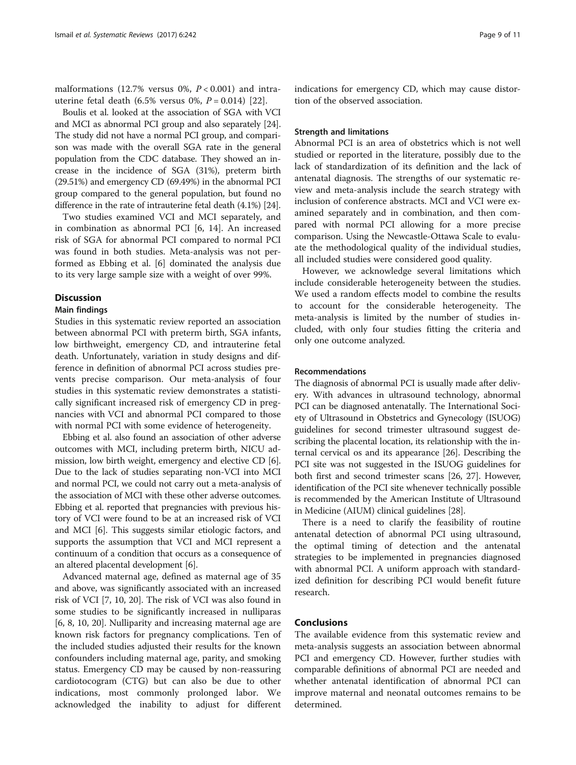malformations (12.7% versus 0%,  $P < 0.001$ ) and intrauterine fetal death (6.5% versus 0%,  $P = 0.014$ ) [\[22](#page-9-0)].

Boulis et al. looked at the association of SGA with VCI and MCI as abnormal PCI group and also separately [[24](#page-9-0)]. The study did not have a normal PCI group, and comparison was made with the overall SGA rate in the general population from the CDC database. They showed an increase in the incidence of SGA (31%), preterm birth (29.51%) and emergency CD (69.49%) in the abnormal PCI group compared to the general population, but found no difference in the rate of intrauterine fetal death (4.1%) [[24](#page-9-0)].

Two studies examined VCI and MCI separately, and in combination as abnormal PCI [\[6](#page-9-0), [14\]](#page-9-0). An increased risk of SGA for abnormal PCI compared to normal PCI was found in both studies. Meta-analysis was not performed as Ebbing et al. [\[6](#page-9-0)] dominated the analysis due to its very large sample size with a weight of over 99%.

#### **Discussion**

#### Main findings

Studies in this systematic review reported an association between abnormal PCI with preterm birth, SGA infants, low birthweight, emergency CD, and intrauterine fetal death. Unfortunately, variation in study designs and difference in definition of abnormal PCI across studies prevents precise comparison. Our meta-analysis of four studies in this systematic review demonstrates a statistically significant increased risk of emergency CD in pregnancies with VCI and abnormal PCI compared to those with normal PCI with some evidence of heterogeneity.

Ebbing et al. also found an association of other adverse outcomes with MCI, including preterm birth, NICU admission, low birth weight, emergency and elective CD [[6](#page-9-0)]. Due to the lack of studies separating non-VCI into MCI and normal PCI, we could not carry out a meta-analysis of the association of MCI with these other adverse outcomes. Ebbing et al. reported that pregnancies with previous history of VCI were found to be at an increased risk of VCI and MCI [\[6](#page-9-0)]. This suggests similar etiologic factors, and supports the assumption that VCI and MCI represent a continuum of a condition that occurs as a consequence of an altered placental development [[6](#page-9-0)].

Advanced maternal age, defined as maternal age of 35 and above, was significantly associated with an increased risk of VCI [\[7](#page-9-0), [10](#page-9-0), [20](#page-9-0)]. The risk of VCI was also found in some studies to be significantly increased in nulliparas [[6, 8, 10, 20\]](#page-9-0). Nulliparity and increasing maternal age are known risk factors for pregnancy complications. Ten of the included studies adjusted their results for the known confounders including maternal age, parity, and smoking status. Emergency CD may be caused by non-reassuring cardiotocogram (CTG) but can also be due to other indications, most commonly prolonged labor. We acknowledged the inability to adjust for different indications for emergency CD, which may cause distortion of the observed association.

#### Strength and limitations

Abnormal PCI is an area of obstetrics which is not well studied or reported in the literature, possibly due to the lack of standardization of its definition and the lack of antenatal diagnosis. The strengths of our systematic review and meta-analysis include the search strategy with inclusion of conference abstracts. MCI and VCI were examined separately and in combination, and then compared with normal PCI allowing for a more precise comparison. Using the Newcastle-Ottawa Scale to evaluate the methodological quality of the individual studies, all included studies were considered good quality.

However, we acknowledge several limitations which include considerable heterogeneity between the studies. We used a random effects model to combine the results to account for the considerable heterogeneity. The meta-analysis is limited by the number of studies included, with only four studies fitting the criteria and only one outcome analyzed.

#### Recommendations

The diagnosis of abnormal PCI is usually made after delivery. With advances in ultrasound technology, abnormal PCI can be diagnosed antenatally. The International Society of Ultrasound in Obstetrics and Gynecology (ISUOG) guidelines for second trimester ultrasound suggest describing the placental location, its relationship with the internal cervical os and its appearance [\[26\]](#page-9-0). Describing the PCI site was not suggested in the ISUOG guidelines for both first and second trimester scans [[26](#page-9-0), [27\]](#page-10-0). However, identification of the PCI site whenever technically possible is recommended by the American Institute of Ultrasound in Medicine (AIUM) clinical guidelines [[28](#page-10-0)].

There is a need to clarify the feasibility of routine antenatal detection of abnormal PCI using ultrasound, the optimal timing of detection and the antenatal strategies to be implemented in pregnancies diagnosed with abnormal PCI. A uniform approach with standardized definition for describing PCI would benefit future research.

## Conclusions

The available evidence from this systematic review and meta-analysis suggests an association between abnormal PCI and emergency CD. However, further studies with comparable definitions of abnormal PCI are needed and whether antenatal identification of abnormal PCI can improve maternal and neonatal outcomes remains to be determined.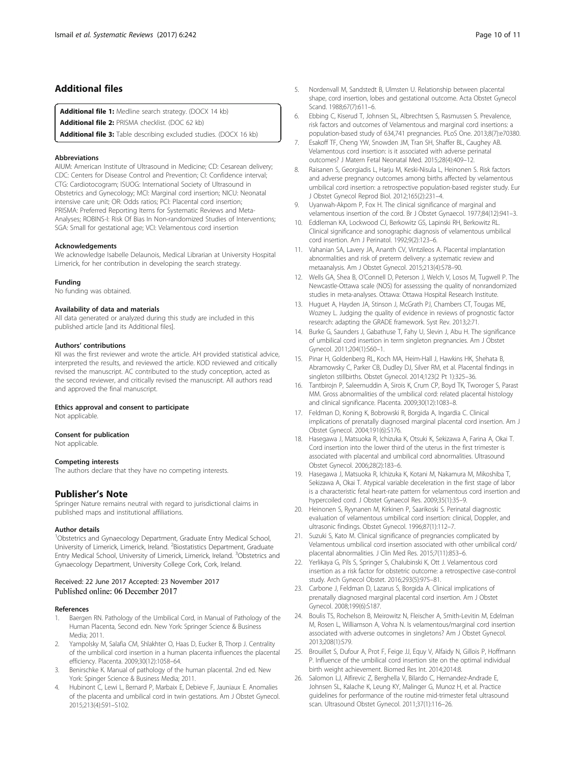## <span id="page-9-0"></span>Additional files

[Additional file 1:](dx.doi.org/10.1186/s13643-017-0641-1) Medline search strategy. (DOCX 14 kb) [Additional file 2:](dx.doi.org/10.1186/s13643-017-0641-1) PRISMA checklist. (DOC 62 kb) [Additional file 3:](dx.doi.org/10.1186/s13643-017-0641-1) Table describing excluded studies. (DOCX 16 kb)

#### Abbreviations

AIUM: American Institute of Ultrasound in Medicine; CD: Cesarean delivery; CDC: Centers for Disease Control and Prevention; CI: Confidence interval; CTG: Cardiotocogram; ISUOG: International Society of Ultrasound in Obstetrics and Gynecology; MCI: Marginal cord insertion; NICU: Neonatal intensive care unit; OR: Odds ratios; PCI: Placental cord insertion; PRISMA: Preferred Reporting Items for Systematic Reviews and Meta-Analyses; ROBINS-I: Risk Of Bias In Non-randomized Studies of Interventions; SGA: Small for gestational age; VCI: Velamentous cord insertion

#### Acknowledgements

We acknowledge Isabelle Delaunois, Medical Librarian at University Hospital Limerick, for her contribution in developing the search strategy.

#### Funding

No funding was obtained.

#### Availability of data and materials

All data generated or analyzed during this study are included in this published article [and its Additional files].

#### Authors' contributions

KII was the first reviewer and wrote the article. AH provided statistical advice, interpreted the results, and reviewed the article. KOD reviewed and critically revised the manuscript. AC contributed to the study conception, acted as the second reviewer, and critically revised the manuscript. All authors read and approved the final manuscript.

#### Ethics approval and consent to participate

Not applicable.

#### Consent for publication

Not applicable.

#### Competing interests

The authors declare that they have no competing interests.

#### Publisher's Note

Springer Nature remains neutral with regard to jurisdictional claims in published maps and institutional affiliations.

#### Author details

<sup>1</sup>Obstetrics and Gynaecology Department, Graduate Entry Medical School, University of Limerick, Limerick, Ireland. <sup>2</sup> Biostatistics Department, Graduate Entry Medical School, University of Limerick, Limerick, Ireland. <sup>3</sup>Obstetrics and Gynaecology Department, University College Cork, Cork, Ireland.

#### Received: 22 June 2017 Accepted: 23 November 2017 Published online: 06 December 2017

#### References

- 1. Baergen RN. Pathology of the Umbilical Cord, in Manual of Pathology of the Human Placenta, Second edn. New York: Springer Science & Business Media; 2011.
- 2. Yampolsky M, Salafia CM, Shlakhter O, Haas D, Eucker B, Thorp J. Centrality of the umbilical cord insertion in a human placenta influences the placental efficiency. Placenta. 2009;30(12):1058–64.
- 3. Benirschke K. Manual of pathology of the human placental. 2nd ed. New York: Spinger Science & Business Media; 2011.
- 4. Hubinont C, Lewi L, Bernard P, Marbaix E, Debieve F, Jauniaux E. Anomalies of the placenta and umbilical cord in twin gestations. Am J Obstet Gynecol. 2015;213(4):S91–S102.
- 5. Nordenvall M, Sandstedt B, Ulmsten U. Relationship between placental shape, cord insertion, lobes and gestational outcome. Acta Obstet Gynecol Scand. 1988;67(7):611–6.
- 6. Ebbing C, Kiserud T, Johnsen SL, Albrechtsen S, Rasmussen S. Prevalence, risk factors and outcomes of Velamentous and marginal cord insertions: a population-based study of 634,741 pregnancies. PLoS One. 2013;8(7):e70380.
- 7. Esakoff TF, Cheng YW, Snowden JM, Tran SH, Shaffer BL, Caughey AB. Velamentous cord insertion: is it associated with adverse perinatal outcomes? J Matern Fetal Neonatal Med. 2015;28(4):409–12.
- 8. Raisanen S, Georgiadis L, Harju M, Keski-Nisula L, Heinonen S. Risk factors and adverse pregnancy outcomes among births affected by velamentous umbilical cord insertion: a retrospective population-based register study. Eur J Obstet Gynecol Reprod Biol. 2012;165(2):231–4.
- 9. Uyanwah-Akpom P, Fox H. The clinical significance of marginal and velamentous insertion of the cord. Br J Obstet Gynaecol. 1977;84(12):941–3.
- 10. Eddleman KA, Lockwood CJ, Berkowitz GS, Lapinski RH, Berkowitz RL. Clinical significance and sonographic diagnosis of velamentous umbilical cord insertion. Am J Perinatol. 1992;9(2):123–6.
- 11. Vahanian SA, Lavery JA, Ananth CV, Vintzileos A. Placental implantation abnormalities and risk of preterm delivery: a systematic review and metaanalysis. Am J Obstet Gynecol. 2015;213(4):S78–90.
- 12. Wells GA, Shea B, O'Connell D, Peterson J, Welch V, Losos M, Tugwell P. The Newcastle-Ottawa scale (NOS) for assesssing the quality of nonrandomized studies in meta-analyses. Ottawa: Ottawa Hospital Research Institute.
- 13. Huguet A, Hayden JA, Stinson J, McGrath PJ, Chambers CT, Tougas ME, Wozney L. Judging the quality of evidence in reviews of prognostic factor research: adapting the GRADE framework. Syst Rev. 2013;2:71.
- 14. Burke G, Saunders J, Gabathuse T, Fahy U, Slevin J, Abu H. The significance of umbilical cord insertion in term singleton pregnancies. Am J Obstet Gynecol. 2011;204(1):S60–1.
- 15. Pinar H, Goldenberg RL, Koch MA, Heim-Hall J, Hawkins HK, Shehata B, Abramowsky C, Parker CB, Dudley DJ, Silver RM, et al. Placental findings in singleton stillbirths. Obstet Gynecol. 2014;123(2 Pt 1):325–36.
- 16. Tantbirojn P, Saleemuddin A, Sirois K, Crum CP, Boyd TK, Tworoger S, Parast MM. Gross abnormalities of the umbilical cord: related placental histology and clinical significance. Placenta. 2009;30(12):1083–8.
- 17. Feldman D, Koning K, Bobrowski R, Borgida A, Ingardia C. Clinical implications of prenatally diagnosed marginal placental cord insertion. Am J Obstet Gynecol. 2004;191(6):S176.
- 18. Hasegawa J, Matsuoka R, Ichizuka K, Otsuki K, Sekizawa A, Farina A, Okai T. Cord insertion into the lower third of the uterus in the first trimester is associated with placental and umbilical cord abnormalities. Ultrasound Obstet Gynecol. 2006;28(2):183–6.
- 19. Hasegawa J, Matsuoka R, Ichizuka K, Kotani M, Nakamura M, Mikoshiba T, Sekizawa A, Okai T. Atypical variable deceleration in the first stage of labor is a characteristic fetal heart-rate pattern for velamentous cord insertion and hypercoiled cord. J Obstet Gynaecol Res. 2009;35(1):35–9.
- 20. Heinonen S, Ryynanen M, Kirkinen P, Saarikoski S. Perinatal diagnostic evaluation of velamentous umbilical cord insertion: clinical, Doppler, and ultrasonic findings. Obstet Gynecol. 1996;87(1):112–7.
- 21. Suzuki S, Kato M. Clinical significance of pregnancies complicated by Velamentous umbilical cord insertion associated with other umbilical cord/ placental abnormalities. J Clin Med Res. 2015;7(11):853–6.
- 22. Yerlikaya G, Pils S, Springer S, Chalubinski K, Ott J. Velamentous cord insertion as a risk factor for obstetric outcome: a retrospective case-control study. Arch Gynecol Obstet. 2016;293(5):975–81.
- 23. Carbone J, Feldman D, Lazarus S, Borgida A. Clinical implications of prenatally diagnosed marginal placental cord insertion. Am J Obstet Gynecol. 2008;199(6):S187.
- 24. Boulis TS, Rochelson B, Meirowitz N, Fleischer A, Smith-Levitin M, Edelman M, Rosen L, Williamson A, Vohra N. Is velamentous/marginal cord insertion associated with adverse outcomes in singletons? Am J Obstet Gynecol. 2013;208(1):S79.
- 25. Brouillet S, Dufour A, Prot F, Feige JJ, Equy V, Alfaidy N, Gillois P, Hoffmann P. Influence of the umbilical cord insertion site on the optimal individual birth weight achievement. Biomed Res Int. 2014;2014:8.
- 26. Salomon LJ, Alfirevic Z, Berghella V, Bilardo C, Hernandez-Andrade E, Johnsen SL, Kalache K, Leung KY, Malinger G, Munoz H, et al. Practice guidelines for performance of the routine mid-trimester fetal ultrasound scan. Ultrasound Obstet Gynecol. 2011;37(1):116–26.